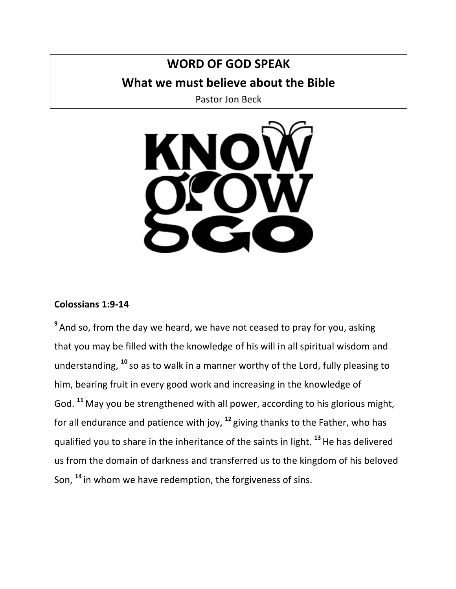# **WORD OF GOD SPEAK What we must believe about the Bible**

Pastor Jon Beck



## **Colossians 1:9-14**

<sup>9</sup> And so, from the day we heard, we have not ceased to pray for you, asking that you may be filled with the knowledge of his will in all spiritual wisdom and understanding, <sup>10</sup> so as to walk in a manner worthy of the Lord, fully pleasing to him, bearing fruit in every good work and increasing in the knowledge of God. <sup>11</sup> May you be strengthened with all power, according to his glorious might, for all endurance and patience with joy, <sup>12</sup> giving thanks to the Father, who has qualified you to share in the inheritance of the saints in light. <sup>13</sup>He has delivered us from the domain of darkness and transferred us to the kingdom of his beloved Son, <sup>14</sup> in whom we have redemption, the forgiveness of sins.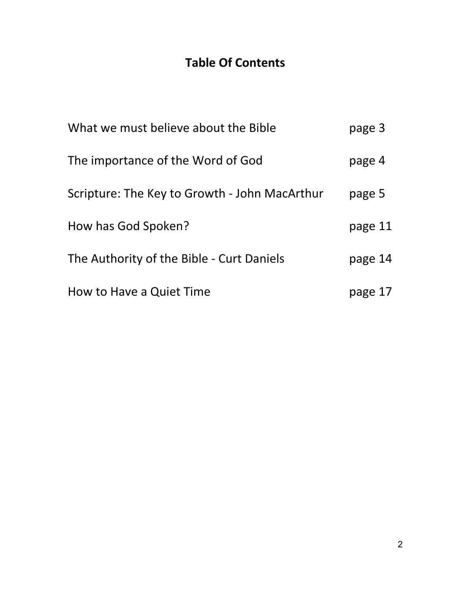# **Table Of Contents**

| What we must believe about the Bible          | page 3  |
|-----------------------------------------------|---------|
| The importance of the Word of God             | page 4  |
| Scripture: The Key to Growth - John MacArthur | page 5  |
| How has God Spoken?                           | page 11 |
| The Authority of the Bible - Curt Daniels     | page 14 |
| How to Have a Quiet Time                      | page 17 |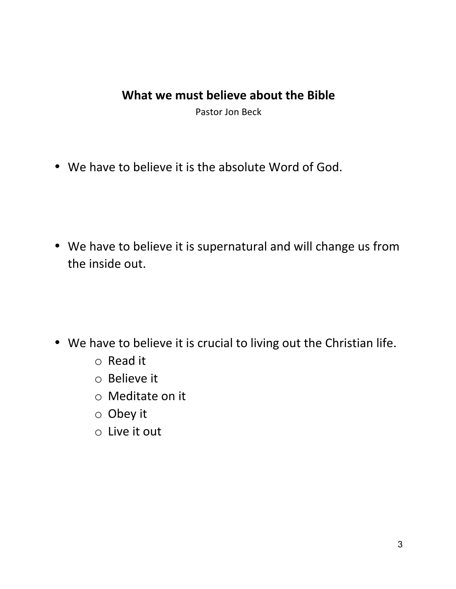# **What we must believe about the Bible**

Pastor Jon Beck

• We have to believe it is the absolute Word of God.

• We have to believe it is supernatural and will change us from the inside out.

- We have to believe it is crucial to living out the Christian life.
	- $\circ$  Read it
	- o Believe it
	- o Meditate on it
	- o Obey it
	- $\circ$  Live it out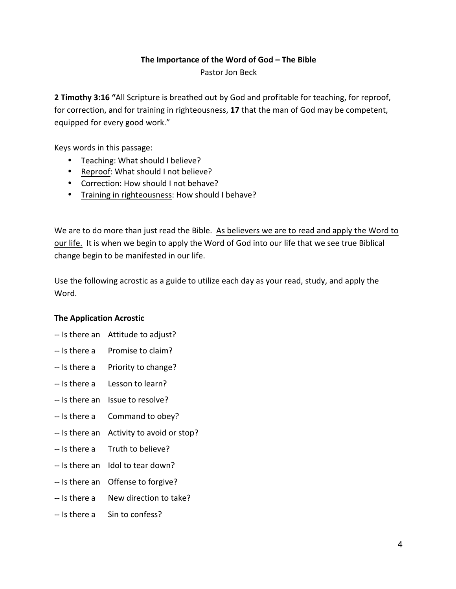## The Importance of the Word of God – The Bible

Pastor Jon Beck

**2 Timothy 3:16** "All Scripture is breathed out by God and profitable for teaching, for reproof, for correction, and for training in righteousness, 17 that the man of God may be competent, equipped for every good work."

Keys words in this passage:

- Teaching: What should I believe?
- Reproof: What should I not believe?
- Correction: How should I not behave?
- Training in righteousness: How should I behave?

We are to do more than just read the Bible. As believers we are to read and apply the Word to our life. It is when we begin to apply the Word of God into our life that we see true Biblical change begin to be manifested in our life.

Use the following acrostic as a guide to utilize each day as your read, study, and apply the Word.

#### **The Application Acrostic**

|               | -- Is there an Attitude to adjust?        |
|---------------|-------------------------------------------|
|               | -- Is there a Promise to claim?           |
| -- Is there a | Priority to change?                       |
|               | -- Is there a Lesson to learn?            |
|               | -- Is there an Issue to resolve?          |
|               | -- Is there a Command to obey?            |
|               | -- Is there an Activity to avoid or stop? |
|               | -- Is there a Truth to believe?           |
|               | -- Is there an Idol to tear down?         |
|               | -- Is there an Offense to forgive?        |
|               | -- Is there a New direction to take?      |
|               | -- Is there a Sin to confess?             |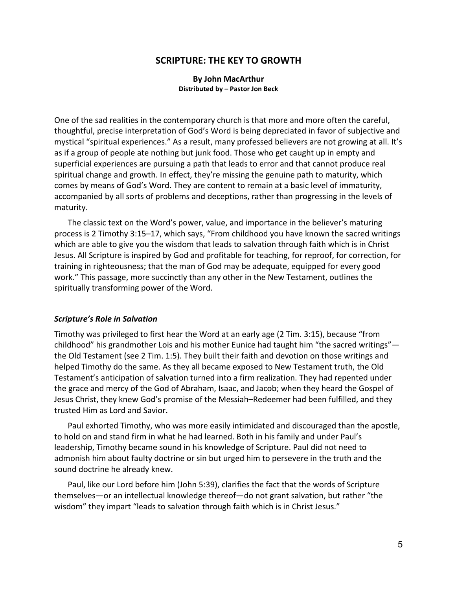#### **SCRIPTURE: THE KEY TO GROWTH**

**By John MacArthur Distributed by – Pastor Jon Beck**

One of the sad realities in the contemporary church is that more and more often the careful, thoughtful, precise interpretation of God's Word is being depreciated in favor of subjective and mystical "spiritual experiences." As a result, many professed believers are not growing at all. It's as if a group of people ate nothing but junk food. Those who get caught up in empty and superficial experiences are pursuing a path that leads to error and that cannot produce real spiritual change and growth. In effect, they're missing the genuine path to maturity, which comes by means of God's Word. They are content to remain at a basic level of immaturity, accompanied by all sorts of problems and deceptions, rather than progressing in the levels of maturity.

The classic text on the Word's power, value, and importance in the believer's maturing process is 2 Timothy 3:15–17, which says, "From childhood you have known the sacred writings which are able to give you the wisdom that leads to salvation through faith which is in Christ Jesus. All Scripture is inspired by God and profitable for teaching, for reproof, for correction, for training in righteousness; that the man of God may be adequate, equipped for every good work." This passage, more succinctly than any other in the New Testament, outlines the spiritually transforming power of the Word.

#### *Scripture's Role in Salvation*

Timothy was privileged to first hear the Word at an early age (2 Tim. 3:15), because "from childhood" his grandmother Lois and his mother Eunice had taught him "the sacred writings" the Old Testament (see 2 Tim. 1:5). They built their faith and devotion on those writings and helped Timothy do the same. As they all became exposed to New Testament truth, the Old Testament's anticipation of salvation turned into a firm realization. They had repented under the grace and mercy of the God of Abraham, Isaac, and Jacob; when they heard the Gospel of Jesus Christ, they knew God's promise of the Messiah–Redeemer had been fulfilled, and they trusted Him as Lord and Savior.

Paul exhorted Timothy, who was more easily intimidated and discouraged than the apostle, to hold on and stand firm in what he had learned. Both in his family and under Paul's leadership, Timothy became sound in his knowledge of Scripture. Paul did not need to admonish him about faulty doctrine or sin but urged him to persevere in the truth and the sound doctrine he already knew.

Paul, like our Lord before him (John 5:39), clarifies the fact that the words of Scripture themselves—or an intellectual knowledge thereof—do not grant salvation, but rather "the wisdom" they impart "leads to salvation through faith which is in Christ Jesus."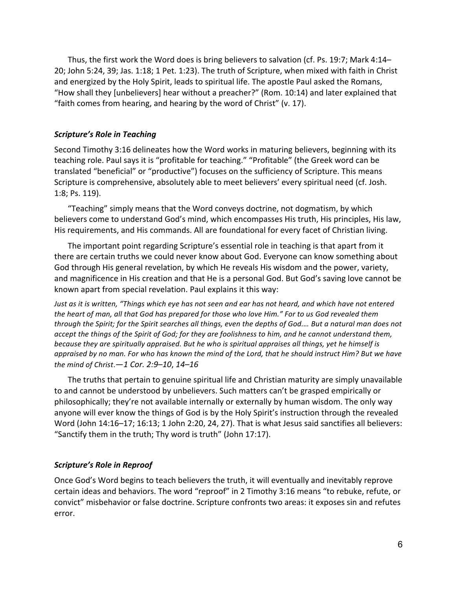Thus, the first work the Word does is bring believers to salvation (cf. Ps. 19:7; Mark 4:14– 20; John 5:24, 39; Jas. 1:18; 1 Pet. 1:23). The truth of Scripture, when mixed with faith in Christ and energized by the Holy Spirit, leads to spiritual life. The apostle Paul asked the Romans, "How shall they [unbelievers] hear without a preacher?" (Rom. 10:14) and later explained that "faith comes from hearing, and hearing by the word of Christ" (v. 17).

#### *Scripture's Role in Teaching*

Second Timothy 3:16 delineates how the Word works in maturing believers, beginning with its teaching role. Paul says it is "profitable for teaching." "Profitable" (the Greek word can be translated "beneficial" or "productive") focuses on the sufficiency of Scripture. This means Scripture is comprehensive, absolutely able to meet believers' every spiritual need (cf. Josh. 1:8; Ps. 119).

"Teaching" simply means that the Word conveys doctrine, not dogmatism, by which believers come to understand God's mind, which encompasses His truth, His principles, His law, His requirements, and His commands. All are foundational for every facet of Christian living.

The important point regarding Scripture's essential role in teaching is that apart from it there are certain truths we could never know about God. Everyone can know something about God through His general revelation, by which He reveals His wisdom and the power, variety, and magnificence in His creation and that He is a personal God. But God's saving love cannot be known apart from special revelation. Paul explains it this way:

*Just as it is written, "Things which eye has not seen and ear has not heard, and which have not entered* the heart of man, all that God has prepared for those who love Him." For to us God revealed them *through the Spirit; for the Spirit searches all things, even the depths of God.... But a natural man does not* accept the things of the Spirit of God; for they are foolishness to him, and he cannot understand them, *because they are spiritually appraised. But he who is spiritual appraises all things, yet he himself is appraised by no man. For who has known the mind of the Lord, that he should instruct Him? But we have the mind of Christ*.—*1 Cor. 2:9–10*, *14–16*

The truths that pertain to genuine spiritual life and Christian maturity are simply unavailable to and cannot be understood by unbelievers. Such matters can't be grasped empirically or philosophically; they're not available internally or externally by human wisdom. The only way anyone will ever know the things of God is by the Holy Spirit's instruction through the revealed Word (John 14:16–17; 16:13; 1 John 2:20, 24, 27). That is what Jesus said sanctifies all believers: "Sanctify them in the truth; Thy word is truth" (John 17:17).

#### *Scripture's Role in Reproof*

Once God's Word begins to teach believers the truth, it will eventually and inevitably reprove certain ideas and behaviors. The word "reproof" in 2 Timothy 3:16 means "to rebuke, refute, or convict" misbehavior or false doctrine. Scripture confronts two areas: it exposes sin and refutes error.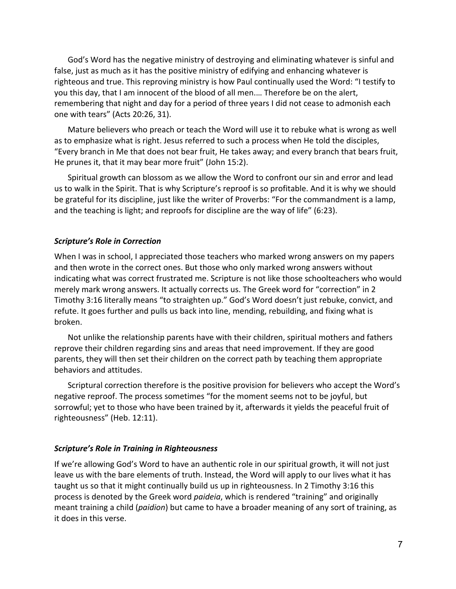God's Word has the negative ministry of destroying and eliminating whatever is sinful and false, just as much as it has the positive ministry of edifying and enhancing whatever is righteous and true. This reproving ministry is how Paul continually used the Word: "I testify to you this day, that I am innocent of the blood of all men.... Therefore be on the alert, remembering that night and day for a period of three years I did not cease to admonish each one with tears" (Acts 20:26, 31).

Mature believers who preach or teach the Word will use it to rebuke what is wrong as well as to emphasize what is right. Jesus referred to such a process when He told the disciples, "Every branch in Me that does not bear fruit, He takes away; and every branch that bears fruit, He prunes it, that it may bear more fruit" (John 15:2).

Spiritual growth can blossom as we allow the Word to confront our sin and error and lead us to walk in the Spirit. That is why Scripture's reproof is so profitable. And it is why we should be grateful for its discipline, just like the writer of Proverbs: "For the commandment is a lamp, and the teaching is light; and reproofs for discipline are the way of life" (6:23).

#### *Scripture's Role in Correction*

When I was in school, I appreciated those teachers who marked wrong answers on my papers and then wrote in the correct ones. But those who only marked wrong answers without indicating what was correct frustrated me. Scripture is not like those schoolteachers who would merely mark wrong answers. It actually corrects us. The Greek word for "correction" in 2 Timothy 3:16 literally means "to straighten up." God's Word doesn't just rebuke, convict, and refute. It goes further and pulls us back into line, mending, rebuilding, and fixing what is broken.

Not unlike the relationship parents have with their children, spiritual mothers and fathers reprove their children regarding sins and areas that need improvement. If they are good parents, they will then set their children on the correct path by teaching them appropriate behaviors and attitudes.

Scriptural correction therefore is the positive provision for believers who accept the Word's negative reproof. The process sometimes "for the moment seems not to be joyful, but sorrowful; yet to those who have been trained by it, afterwards it yields the peaceful fruit of righteousness" (Heb. 12:11).

#### *Scripture's Role in Training in Righteousness*

If we're allowing God's Word to have an authentic role in our spiritual growth, it will not just leave us with the bare elements of truth. Instead, the Word will apply to our lives what it has taught us so that it might continually build us up in righteousness. In 2 Timothy 3:16 this process is denoted by the Greek word *paideia*, which is rendered "training" and originally meant training a child (*paidion*) but came to have a broader meaning of any sort of training, as it does in this verse.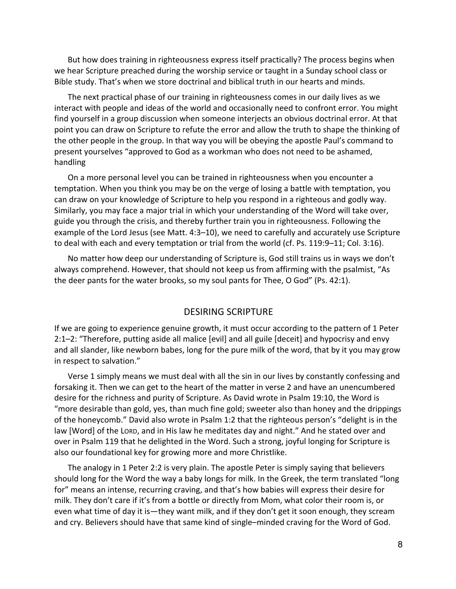But how does training in righteousness express itself practically? The process begins when we hear Scripture preached during the worship service or taught in a Sunday school class or Bible study. That's when we store doctrinal and biblical truth in our hearts and minds.

The next practical phase of our training in righteousness comes in our daily lives as we interact with people and ideas of the world and occasionally need to confront error. You might find yourself in a group discussion when someone interjects an obvious doctrinal error. At that point you can draw on Scripture to refute the error and allow the truth to shape the thinking of the other people in the group. In that way you will be obeying the apostle Paul's command to present yourselves "approved to God as a workman who does not need to be ashamed, handling

On a more personal level you can be trained in righteousness when you encounter a temptation. When you think you may be on the verge of losing a battle with temptation, you can draw on your knowledge of Scripture to help you respond in a righteous and godly way. Similarly, you may face a major trial in which your understanding of the Word will take over, guide you through the crisis, and thereby further train you in righteousness. Following the example of the Lord Jesus (see Matt. 4:3–10), we need to carefully and accurately use Scripture to deal with each and every temptation or trial from the world (cf. Ps. 119:9–11; Col. 3:16).

No matter how deep our understanding of Scripture is, God still trains us in ways we don't always comprehend. However, that should not keep us from affirming with the psalmist, "As the deer pants for the water brooks, so my soul pants for Thee, O God" (Ps. 42:1).

#### DESIRING SCRIPTURE

If we are going to experience genuine growth, it must occur according to the pattern of 1 Peter 2:1-2: "Therefore, putting aside all malice [evil] and all guile [deceit] and hypocrisy and envy and all slander, like newborn babes, long for the pure milk of the word, that by it you may grow in respect to salvation."

Verse 1 simply means we must deal with all the sin in our lives by constantly confessing and forsaking it. Then we can get to the heart of the matter in verse 2 and have an unencumbered desire for the richness and purity of Scripture. As David wrote in Psalm 19:10, the Word is "more desirable than gold, yes, than much fine gold; sweeter also than honey and the drippings of the honeycomb." David also wrote in Psalm 1:2 that the righteous person's "delight is in the law [Word] of the Lord, and in His law he meditates day and night." And he stated over and over in Psalm 119 that he delighted in the Word. Such a strong, joyful longing for Scripture is also our foundational key for growing more and more Christlike.

The analogy in 1 Peter 2:2 is very plain. The apostle Peter is simply saying that believers should long for the Word the way a baby longs for milk. In the Greek, the term translated "long for" means an intense, recurring craving, and that's how babies will express their desire for milk. They don't care if it's from a bottle or directly from Mom, what color their room is, or even what time of day it is—they want milk, and if they don't get it soon enough, they scream and cry. Believers should have that same kind of single–minded craving for the Word of God.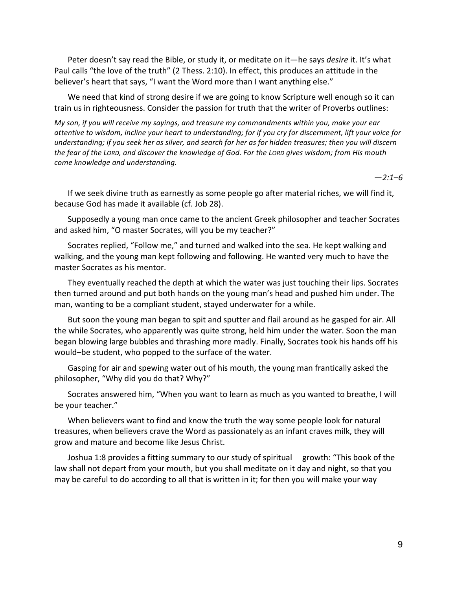Peter doesn't say read the Bible, or study it, or meditate on it—he says *desire* it. It's what Paul calls "the love of the truth" (2 Thess. 2:10). In effect, this produces an attitude in the believer's heart that says, "I want the Word more than I want anything else."

We need that kind of strong desire if we are going to know Scripture well enough so it can train us in righteousness. Consider the passion for truth that the writer of Proverbs outlines:

*My* son, if you will receive my sayings, and treasure my commandments within you, make your ear *attentive to wisdom, incline your heart to understanding; for if you cry for discernment, lift your voice for* understanding; if you seek her as silver, and search for her as for hidden treasures; then you will discern the fear of the LORD, and discover the knowledge of God. For the LORD gives wisdom; from His mouth *come knowledge and understanding.* 

—*2:1–6*

If we seek divine truth as earnestly as some people go after material riches, we will find it, because God has made it available (cf. Job 28).

Supposedly a young man once came to the ancient Greek philosopher and teacher Socrates and asked him, "O master Socrates, will you be my teacher?"

Socrates replied, "Follow me," and turned and walked into the sea. He kept walking and walking, and the young man kept following and following. He wanted very much to have the master Socrates as his mentor.

They eventually reached the depth at which the water was just touching their lips. Socrates then turned around and put both hands on the young man's head and pushed him under. The man, wanting to be a compliant student, stayed underwater for a while.

But soon the young man began to spit and sputter and flail around as he gasped for air. All the while Socrates, who apparently was quite strong, held him under the water. Soon the man began blowing large bubbles and thrashing more madly. Finally, Socrates took his hands off his would-be student, who popped to the surface of the water.

Gasping for air and spewing water out of his mouth, the young man frantically asked the philosopher, "Why did you do that? Why?"

Socrates answered him, "When you want to learn as much as you wanted to breathe, I will be your teacher."

When believers want to find and know the truth the way some people look for natural treasures, when believers crave the Word as passionately as an infant craves milk, they will grow and mature and become like Jesus Christ.

Joshua 1:8 provides a fitting summary to our study of spiritual growth: "This book of the law shall not depart from your mouth, but you shall meditate on it day and night, so that you may be careful to do according to all that is written in it; for then you will make your way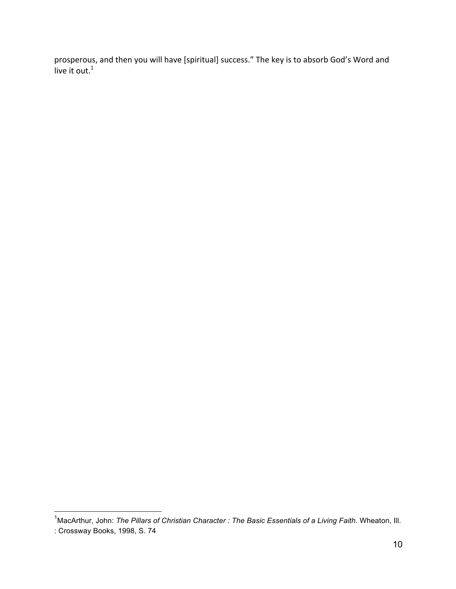prosperous, and then you will have [spiritual] success." The key is to absorb God's Word and live it out.<sup>1</sup>

 <sup>1</sup> MacArthur, John: *The Pillars of Christian Character : The Basic Essentials of a Living Faith*. Wheaton, Ill.

<sup>:</sup> Crossway Books, 1998, S. 74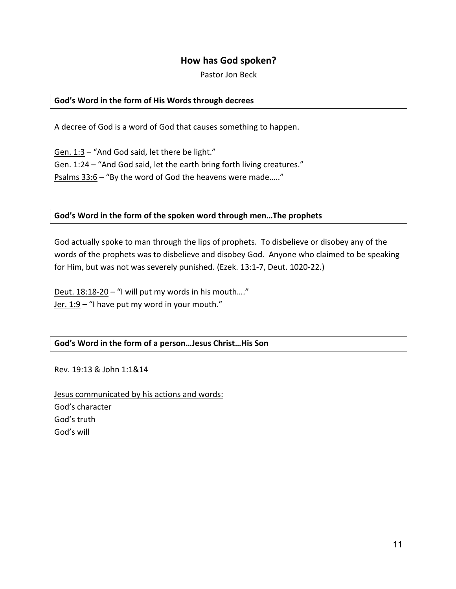#### **How has God spoken?**

Pastor Jon Beck

#### God's Word in the form of His Words through decrees

A decree of God is a word of God that causes something to happen.

Gen. 1:3 - "And God said, let there be light." Gen. 1:24 – "And God said, let the earth bring forth living creatures." Psalms  $33:6$  – "By the word of God the heavens were made....."

#### God's Word in the form of the spoken word through men...The prophets

God actually spoke to man through the lips of prophets. To disbelieve or disobey any of the words of the prophets was to disbelieve and disobey God. Anyone who claimed to be speaking for Him, but was not was severely punished. (Ezek. 13:1-7, Deut. 1020-22.)

Deut.  $18:18-20 -$  "I will put my words in his mouth...." Jer.  $1:9 -$  "I have put my word in your mouth."

#### God's Word in the form of a person...Jesus Christ...His Son

Rev. 19:13 & John 1:1&14

Jesus communicated by his actions and words: God's character God's truth God's will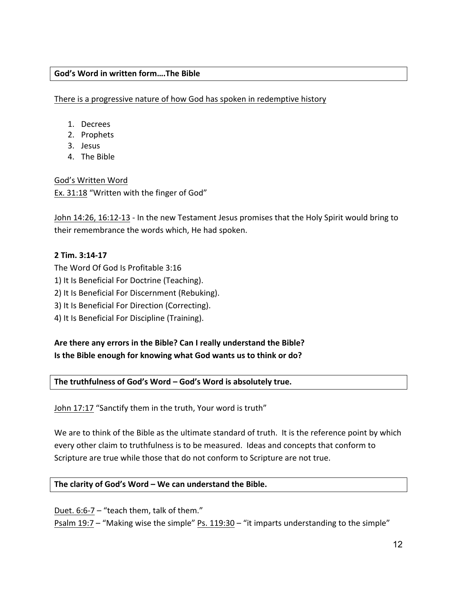#### God's Word in written form....The Bible

There is a progressive nature of how God has spoken in redemptive history

- 1. Decrees
- 2. Prophets
- 3. Jesus
- 4. The Bible

God's Written Word Ex. 31:18 "Written with the finger of God"

John 14:26, 16:12-13 - In the new Testament Jesus promises that the Holy Spirit would bring to their remembrance the words which, He had spoken.

#### **2 Tim. 3:14-17**

The Word Of God Is Profitable 3:16

- 1) It Is Beneficial For Doctrine (Teaching).
- 2) It Is Beneficial For Discernment (Rebuking).
- 3) It Is Beneficial For Direction (Correcting).
- 4) It Is Beneficial For Discipline (Training).

Are there any errors in the Bible? Can I really understand the Bible? **Is the Bible enough for knowing what God wants us to think or do?** 

The truthfulness of God's Word – God's Word is absolutely true.

John 17:17 "Sanctify them in the truth, Your word is truth"

We are to think of the Bible as the ultimate standard of truth. It is the reference point by which every other claim to truthfulness is to be measured. Ideas and concepts that conform to Scripture are true while those that do not conform to Scripture are not true.

#### The clarity of God's Word – We can understand the Bible.

Duet.  $6:6-7$  – "teach them, talk of them."

Psalm  $19:7$  – "Making wise the simple" Ps.  $119:30$  – "it imparts understanding to the simple"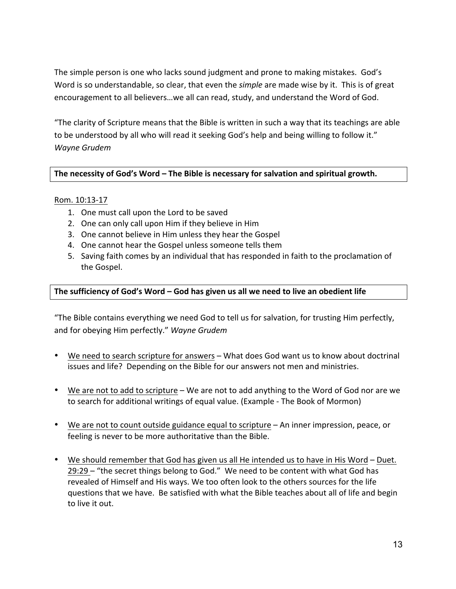The simple person is one who lacks sound judgment and prone to making mistakes. God's Word is so understandable, so clear, that even the *simple* are made wise by it. This is of great encouragement to all believers...we all can read, study, and understand the Word of God.

"The clarity of Scripture means that the Bible is written in such a way that its teachings are able to be understood by all who will read it seeking God's help and being willing to follow it." *Wayne Grudem*

#### The necessity of God's Word – The Bible is necessary for salvation and spiritual growth.

#### Rom. 10:13-17

- 1. One must call upon the Lord to be saved
- 2. One can only call upon Him if they believe in Him
- 3. One cannot believe in Him unless they hear the Gospel
- 4. One cannot hear the Gospel unless someone tells them
- 5. Saving faith comes by an individual that has responded in faith to the proclamation of the Gospel.

#### **The sufficiency of God's Word – God has given us all we need to live an obedient life**

"The Bible contains everything we need God to tell us for salvation, for trusting Him perfectly, and for obeying Him perfectly." Wayne Grudem

- We need to search scripture for answers What does God want us to know about doctrinal issues and life? Depending on the Bible for our answers not men and ministries.
- We are not to add to scripture We are not to add anything to the Word of God nor are we to search for additional writings of equal value. (Example - The Book of Mormon)
- We are not to count outside guidance equal to scripture An inner impression, peace, or feeling is never to be more authoritative than the Bible.
- We should remember that God has given us all He intended us to have in His Word Duet. 29:29 - "the secret things belong to God." We need to be content with what God has revealed of Himself and His ways. We too often look to the others sources for the life questions that we have. Be satisfied with what the Bible teaches about all of life and begin to live it out.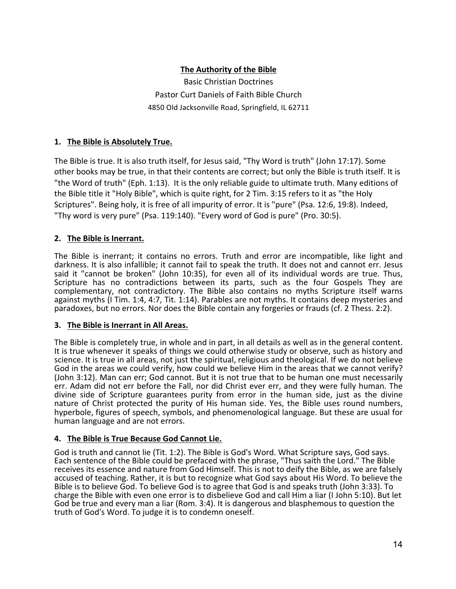#### **The Authority of the Bible**

Basic Christian Doctrines Pastor Curt Daniels of Faith Bible Church 4850 Old Jacksonville Road, Springfield, IL 62711

#### **1. The Bible is Absolutely True.**

The Bible is true. It is also truth itself, for Jesus said, "Thy Word is truth" (John 17:17). Some other books may be true, in that their contents are correct; but only the Bible is truth itself. It is "the Word of truth" (Eph. 1:13). It is the only reliable guide to ultimate truth. Many editions of the Bible title it "Holy Bible", which is quite right, for 2 Tim. 3:15 refers to it as "the Holy Scriptures". Being holy, it is free of all impurity of error. It is "pure" (Psa. 12:6, 19:8). Indeed, "Thy word is very pure" (Psa. 119:140). "Every word of God is pure" (Pro. 30:5).

#### **2. The Bible is Inerrant.**

The Bible is inerrant; it contains no errors. Truth and error are incompatible, like light and darkness. It is also infallible; it cannot fail to speak the truth. It does not and cannot err. Jesus said it "cannot be broken" (John 10:35), for even all of its individual words are true. Thus, Scripture has no contradictions between its parts, such as the four Gospels They are complementary, not contradictory. The Bible also contains no myths Scripture itself warns against myths (I Tim. 1:4, 4:7, Tit. 1:14). Parables are not myths. It contains deep mysteries and paradoxes, but no errors. Nor does the Bible contain any forgeries or frauds (cf. 2 Thess. 2:2).

#### **3.** The Bible is Inerrant in All Areas.

The Bible is completely true, in whole and in part, in all details as well as in the general content. It is true whenever it speaks of things we could otherwise study or observe, such as history and science. It is true in all areas, not just the spiritual, religious and theological. If we do not believe God in the areas we could verify, how could we believe Him in the areas that we cannot verify? (John 3:12). Man can err; God cannot. But it is not true that to be human one must necessarily err. Adam did not err before the Fall, nor did Christ ever err, and they were fully human. The divine side of Scripture guarantees purity from error in the human side, just as the divine nature of Christ protected the purity of His human side. Yes, the Bible uses round numbers, hyperbole, figures of speech, symbols, and phenomenological language. But these are usual for human language and are not errors.

#### **4.** The Bible is True Because God Cannot Lie.

God is truth and cannot lie (Tit. 1:2). The Bible is God's Word. What Scripture says, God says. Each sentence of the Bible could be prefaced with the phrase, "Thus saith the Lord." The Bible receives its essence and nature from God Himself. This is not to deify the Bible, as we are falsely accused of teaching. Rather, it is but to recognize what God says about His Word. To believe the Bible is to believe God. To believe God is to agree that God is and speaks truth (John 3:33). To charge the Bible with even one error is to disbelieve God and call Him a liar (I John 5:10). But let God be true and every man a liar (Rom. 3:4). It is dangerous and blasphemous to question the truth of God's Word. To judge it is to condemn oneself.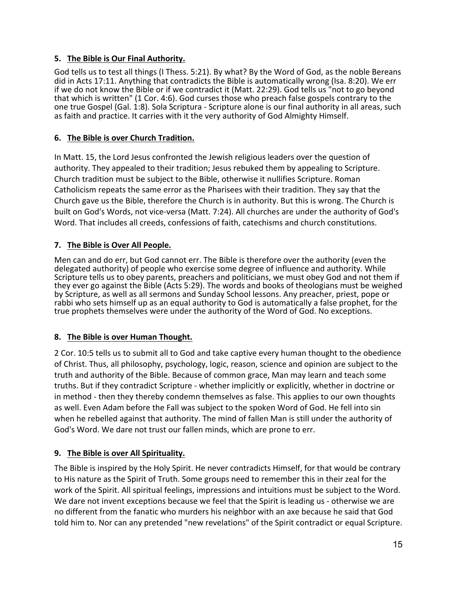#### **5.** The Bible is Our Final Authority.

God tells us to test all things (I Thess. 5:21). By what? By the Word of God, as the noble Bereans did in Acts 17:11. Anything that contradicts the Bible is automatically wrong (Isa. 8:20). We err if we do not know the Bible or if we contradict it (Matt. 22:29). God tells us "not to go beyond that which is written" (1 Cor. 4:6). God curses those who preach false gospels contrary to the one true Gospel (Gal. 1:8). Sola Scriptura - Scripture alone is our final authority in all areas, such as faith and practice. It carries with it the very authority of God Almighty Himself.

#### **6.** The Bible is over Church Tradition.

In Matt. 15, the Lord Jesus confronted the Jewish religious leaders over the question of authority. They appealed to their tradition; Jesus rebuked them by appealing to Scripture. Church tradition must be subject to the Bible, otherwise it nullifies Scripture. Roman Catholicism repeats the same error as the Pharisees with their tradition. They say that the Church gave us the Bible, therefore the Church is in authority. But this is wrong. The Church is built on God's Words, not vice-versa (Matt. 7:24). All churches are under the authority of God's Word. That includes all creeds, confessions of faith, catechisms and church constitutions.

### **7.** The Bible is Over All People.

Men can and do err, but God cannot err. The Bible is therefore over the authority (even the delegated authority) of people who exercise some degree of influence and authority. While Scripture tells us to obey parents, preachers and politicians, we must obey God and not them if they ever go against the Bible (Acts 5:29). The words and books of theologians must be weighed by Scripture, as well as all sermons and Sunday School lessons. Any preacher, priest, pope or rabbi who sets himself up as an equal authority to God is automatically a false prophet, for the true prophets themselves were under the authority of the Word of God. No exceptions.

#### **8.** The Bible is over Human Thought.

2 Cor. 10:5 tells us to submit all to God and take captive every human thought to the obedience of Christ. Thus, all philosophy, psychology, logic, reason, science and opinion are subject to the truth and authority of the Bible. Because of common grace, Man may learn and teach some truths. But if they contradict Scripture - whether implicitly or explicitly, whether in doctrine or in method - then they thereby condemn themselves as false. This applies to our own thoughts as well. Even Adam before the Fall was subject to the spoken Word of God. He fell into sin when he rebelled against that authority. The mind of fallen Man is still under the authority of God's Word. We dare not trust our fallen minds, which are prone to err.

#### **9.** The Bible is over All Spirituality.

The Bible is inspired by the Holy Spirit. He never contradicts Himself, for that would be contrary to His nature as the Spirit of Truth. Some groups need to remember this in their zeal for the work of the Spirit. All spiritual feelings, impressions and intuitions must be subject to the Word. We dare not invent exceptions because we feel that the Spirit is leading us - otherwise we are no different from the fanatic who murders his neighbor with an axe because he said that God told him to. Nor can any pretended "new revelations" of the Spirit contradict or equal Scripture.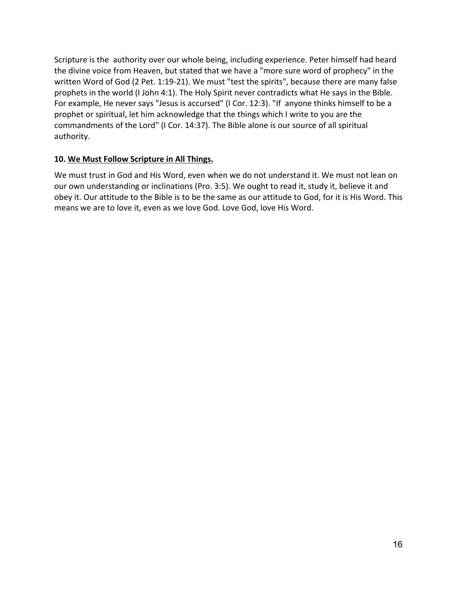Scripture is the authority over our whole being, including experience. Peter himself had heard the divine voice from Heaven, but stated that we have a "more sure word of prophecy" in the written Word of God (2 Pet. 1:19-21). We must "test the spirits", because there are many false prophets in the world (I John 4:1). The Holy Spirit never contradicts what He says in the Bible. For example, He never says "Jesus is accursed" (I Cor. 12:3). "If anyone thinks himself to be a prophet or spiritual, let him acknowledge that the things which I write to you are the commandments of the Lord" (I Cor. 14:37). The Bible alone is our source of all spiritual authority. 

#### **10. We Must Follow Scripture in All Things.**

We must trust in God and His Word, even when we do not understand it. We must not lean on our own understanding or inclinations (Pro. 3:5). We ought to read it, study it, believe it and obey it. Our attitude to the Bible is to be the same as our attitude to God, for it is His Word. This means we are to love it, even as we love God. Love God, love His Word.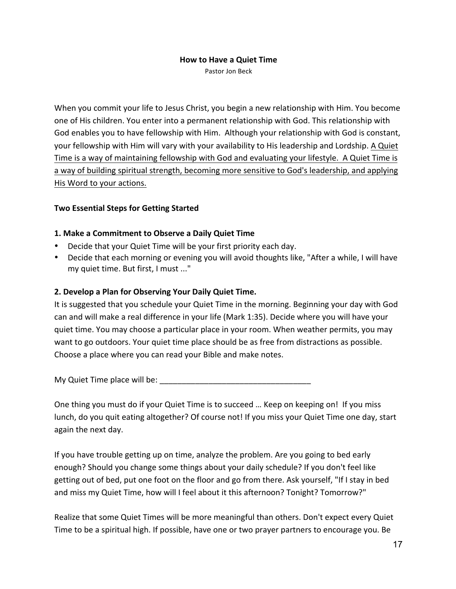# **How to Have a Quiet Time**

Pastor Jon Beck

When you commit your life to Jesus Christ, you begin a new relationship with Him. You become one of His children. You enter into a permanent relationship with God. This relationship with God enables you to have fellowship with Him. Although your relationship with God is constant, your fellowship with Him will vary with your availability to His leadership and Lordship. A Quiet Time is a way of maintaining fellowship with God and evaluating your lifestyle. A Quiet Time is a way of building spiritual strength, becoming more sensitive to God's leadership, and applying His Word to your actions.

#### **Two Essential Steps for Getting Started**

#### **1. Make a Commitment to Observe a Daily Quiet Time**

- Decide that your Quiet Time will be your first priority each day.
- Decide that each morning or evening you will avoid thoughts like, "After a while, I will have my quiet time. But first, I must ..."

#### **2. Develop a Plan for Observing Your Daily Quiet Time.**

It is suggested that you schedule your Quiet Time in the morning. Beginning your day with God can and will make a real difference in your life (Mark 1:35). Decide where you will have your quiet time. You may choose a particular place in your room. When weather permits, you may want to go outdoors. Your quiet time place should be as free from distractions as possible. Choose a place where you can read your Bible and make notes.

My Quiet Time place will be: \_\_\_\_\_\_\_\_\_\_\_\_\_\_\_\_\_\_\_\_\_\_\_\_\_\_\_\_\_\_\_\_\_\_

One thing you must do if your Quiet Time is to succeed ... Keep on keeping on! If you miss lunch, do you quit eating altogether? Of course not! If you miss your Quiet Time one day, start again the next day.

If you have trouble getting up on time, analyze the problem. Are you going to bed early enough? Should you change some things about your daily schedule? If you don't feel like getting out of bed, put one foot on the floor and go from there. Ask yourself, "If I stay in bed and miss my Quiet Time, how will I feel about it this afternoon? Tonight? Tomorrow?"

Realize that some Quiet Times will be more meaningful than others. Don't expect every Quiet Time to be a spiritual high. If possible, have one or two prayer partners to encourage you. Be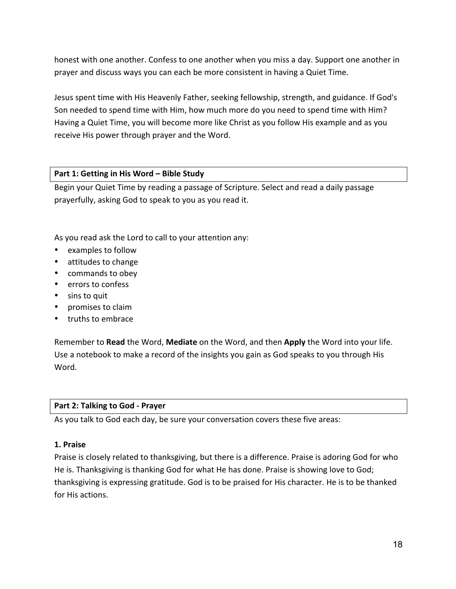honest with one another. Confess to one another when you miss a day. Support one another in prayer and discuss ways you can each be more consistent in having a Quiet Time.

Jesus spent time with His Heavenly Father, seeking fellowship, strength, and guidance. If God's Son needed to spend time with Him, how much more do you need to spend time with Him? Having a Quiet Time, you will become more like Christ as you follow His example and as you receive His power through prayer and the Word.

#### **Part 1: Getting in His Word – Bible Study**

Begin your Quiet Time by reading a passage of Scripture. Select and read a daily passage prayerfully, asking God to speak to you as you read it.

As you read ask the Lord to call to your attention any:

- examples to follow
- attitudes to change
- commands to obey
- errors to confess
- $\bullet$  sins to quit
- promises to claim
- truths to embrace

Remember to **Read** the Word, **Mediate** on the Word, and then **Apply** the Word into your life. Use a notebook to make a record of the insights you gain as God speaks to you through His Word.

#### **Part 2: Talking to God - Prayer**

As you talk to God each day, be sure your conversation covers these five areas:

#### **1. Praise**

Praise is closely related to thanksgiving, but there is a difference. Praise is adoring God for who He is. Thanksgiving is thanking God for what He has done. Praise is showing love to God; thanksgiving is expressing gratitude. God is to be praised for His character. He is to be thanked for His actions.